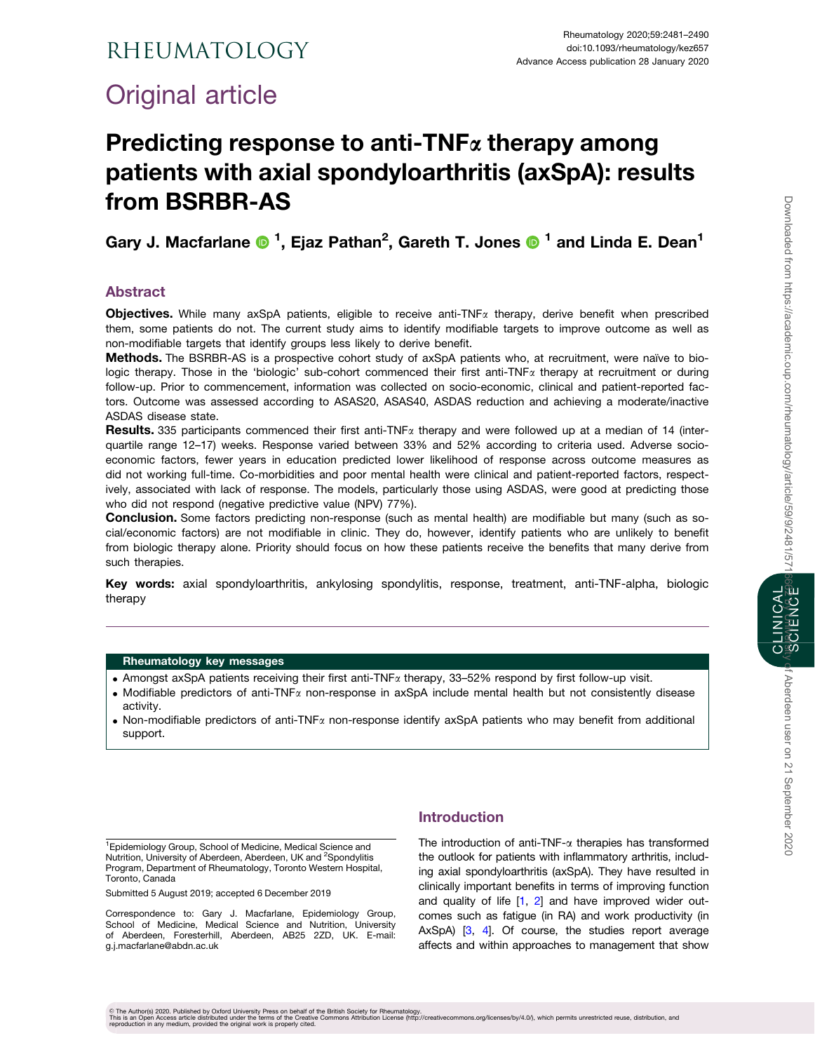# <span id="page-0-0"></span>Original article

# Predicting response to anti-TNF $\alpha$  therapy among patients with axial spondyloarthritis (axSpA): results from BSRBR-AS

Gary J. Macfarlane  $\bigcirc$  <sup>1</sup>, Ejaz Pathan<sup>2</sup>, Gareth T. Jones  $\bigcirc$  <sup>1</sup> and Linda E. Dean<sup>1</sup>

# Abstract

**Objectives.** While many axSpA patients, eligible to receive anti-TNF $\alpha$  therapy, derive benefit when prescribed them, some patients do not. The current study aims to identify modifiable targets to improve outcome as well as non-modifiable targets that identify groups less likely to derive benefit.

Methods. The BSRBR-AS is a prospective cohort study of axSpA patients who, at recruitment, were naïve to biologic therapy. Those in the 'biologic' sub-cohort commenced their first anti-TNF<sub>a</sub> therapy at recruitment or during follow-up. Prior to commencement, information was collected on socio-economic, clinical and patient-reported factors. Outcome was assessed according to ASAS20, ASAS40, ASDAS reduction and achieving a moderate/inactive ASDAS disease state.

**Results.** 335 participants commenced their first anti-TNF<sub> $\alpha$ </sub> therapy and were followed up at a median of 14 (interquartile range 12–17) weeks. Response varied between 33% and 52% according to criteria used. Adverse socioeconomic factors, fewer years in education predicted lower likelihood of response across outcome measures as did not working full-time. Co-morbidities and poor mental health were clinical and patient-reported factors, respectively, associated with lack of response. The models, particularly those using ASDAS, were good at predicting those who did not respond (negative predictive value (NPV) 77%).

**Conclusion.** Some factors predicting non-response (such as mental health) are modifiable but many (such as social/economic factors) are not modifiable in clinic. They do, however, identify patients who are unlikely to benefit from biologic therapy alone. Priority should focus on how these patients receive the benefits that many derive from such therapies.

Key words: axial spondyloarthritis, ankylosing spondylitis, response, treatment, anti-TNF-alpha, biologic therapy

#### Rheumatology key messages

- . Amongst axSpA patients receiving their first anti-TNFa therapy, 33–52% respond by first follow-up visit.
- Modifiable predictors of anti-TNF $\alpha$  non-response in axSpA include mental health but not consistently disease activity.
- . Non-modifiable predictors of anti-TNFa non-response identify axSpA patients who may benefit from additional support.

<sup>1</sup> Epidemiology Group, School of Medicine, Medical Science and Nutrition, University of Aberdeen, Aberdeen, UK and <sup>2</sup>Spondylitis Program, Department of Rheumatology, Toronto Western Hospital, Toronto, Canada

Submitted 5 August 2019; accepted 6 December 2019

Correspondence to: Gary J. Macfarlane, Epidemiology Group, School of Medicine, Medical Science and Nutrition, University of Aberdeen, Foresterhill, Aberdeen, AB25 2ZD, UK. E-mail: g.j.macfarlane@abdn.ac.uk

## Introduction

The introduction of anti-TNF- $\alpha$  therapies has transformed the outlook for patients with inflammatory arthritis, including axial spondyloarthritis (axSpA). They have resulted in clinically important benefits in terms of improving function and quality of life [\[1,](#page-8-0) [2](#page-8-0)] and have improved wider outcomes such as fatigue (in RA) and work productivity (in AxSpA) [\[3,](#page-8-0) [4](#page-8-0)]. Of course, the studies report average affects and within approaches to management that show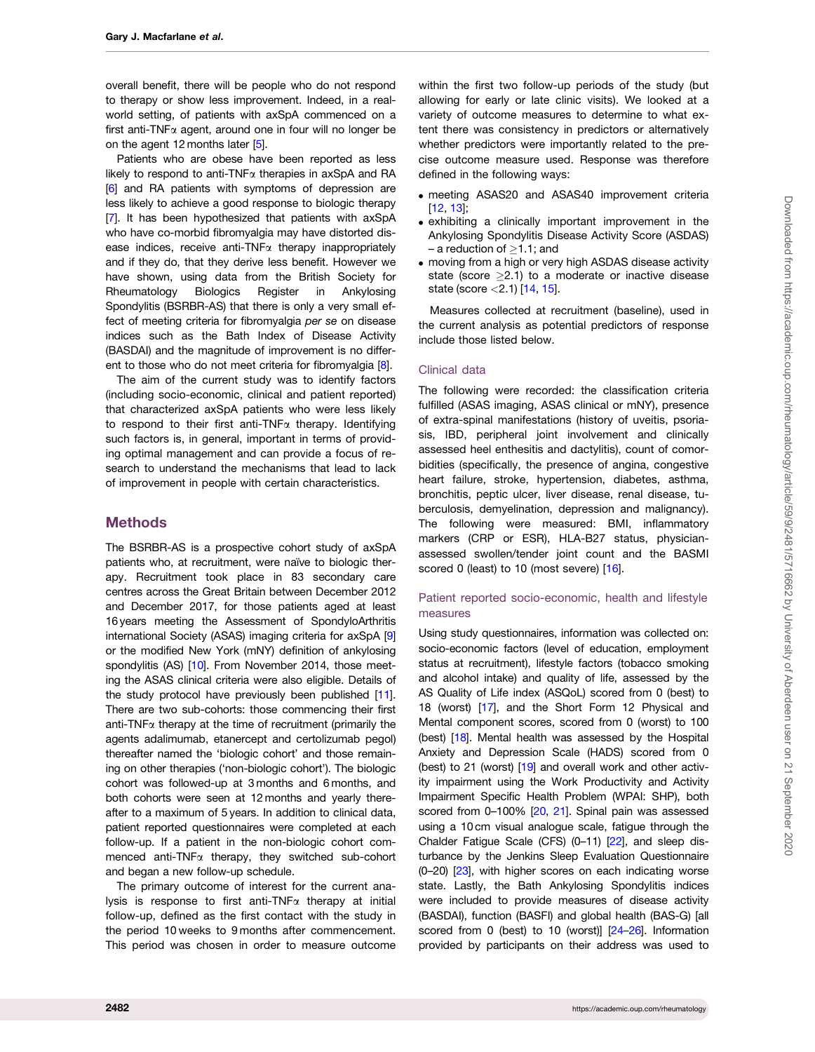<span id="page-1-0"></span>overall benefit, there will be people who do not respond to therapy or show less improvement. Indeed, in a realworld setting, of patients with axSpA commenced on a first anti-TNF $\alpha$  agent, around one in four will no longer be on the agent 12 months later [\[5\]](#page-8-0).

Patients who are obese have been reported as less likely to respond to anti-TNF $\alpha$  therapies in axSpA and RA [\[6](#page-8-0)] and RA patients with symptoms of depression are less likely to achieve a good response to biologic therapy [\[7](#page-8-0)]. It has been hypothesized that patients with axSpA who have co-morbid fibromyalgia may have distorted disease indices, receive anti-TNF $\alpha$  therapy inappropriately and if they do, that they derive less benefit. However we have shown, using data from the British Society for Rheumatology Biologics Register in Ankylosing Spondylitis (BSRBR-AS) that there is only a very small effect of meeting criteria for fibromyalgia per se on disease indices such as the Bath Index of Disease Activity (BASDAI) and the magnitude of improvement is no differ-ent to those who do not meet criteria for fibromyalgia [\[8\]](#page-8-0).

The aim of the current study was to identify factors (including socio-economic, clinical and patient reported) that characterized axSpA patients who were less likely to respond to their first anti-TNF $\alpha$  therapy. Identifying such factors is, in general, important in terms of providing optimal management and can provide a focus of research to understand the mechanisms that lead to lack of improvement in people with certain characteristics.

## **Methods**

The BSRBR-AS is a prospective cohort study of axSpA patients who, at recruitment, were naïve to biologic therapy. Recruitment took place in 83 secondary care centres across the Great Britain between December 2012 and December 2017, for those patients aged at least 16 years meeting the Assessment of SpondyloArthritis international Society (ASAS) imaging criteria for axSpA [[9](#page-8-0)] or the modified New York (mNY) definition of ankylosing spondylitis (AS) [[10\]](#page-8-0). From November 2014, those meeting the ASAS clinical criteria were also eligible. Details of the study protocol have previously been published [[11](#page-8-0)]. There are two sub-cohorts: those commencing their first anti-TNF $\alpha$  therapy at the time of recruitment (primarily the agents adalimumab, etanercept and certolizumab pegol) thereafter named the 'biologic cohort' and those remaining on other therapies ('non-biologic cohort'). The biologic cohort was followed-up at 3 months and 6 months, and both cohorts were seen at 12 months and yearly thereafter to a maximum of 5 years. In addition to clinical data, patient reported questionnaires were completed at each follow-up. If a patient in the non-biologic cohort commenced anti-TNFa therapy, they switched sub-cohort and began a new follow-up schedule.

The primary outcome of interest for the current analysis is response to first anti-TNF $\alpha$  therapy at initial follow-up, defined as the first contact with the study in the period 10 weeks to 9 months after commencement. This period was chosen in order to measure outcome

within the first two follow-up periods of the study (but allowing for early or late clinic visits). We looked at a variety of outcome measures to determine to what extent there was consistency in predictors or alternatively whether predictors were importantly related to the precise outcome measure used. Response was therefore defined in the following ways:

- . meeting ASAS20 and ASAS40 improvement criteria [\[12,](#page-8-0) [13\]](#page-8-0);
- . exhibiting a clinically important improvement in the Ankylosing Spondylitis Disease Activity Score (ASDAS) – a reduction of  $\geq$ 1.1; and
- . moving from a high or very high ASDAS disease activity state (score  $\geq$ 2.1) to a moderate or inactive disease state (score  $<$  2.1) [\[14,](#page-8-0) [15\]](#page-9-0).

Measures collected at recruitment (baseline), used in the current analysis as potential predictors of response include those listed below.

#### Clinical data

The following were recorded: the classification criteria fulfilled (ASAS imaging, ASAS clinical or mNY), presence of extra-spinal manifestations (history of uveitis, psoriasis, IBD, peripheral joint involvement and clinically assessed heel enthesitis and dactylitis), count of comorbidities (specifically, the presence of angina, congestive heart failure, stroke, hypertension, diabetes, asthma, bronchitis, peptic ulcer, liver disease, renal disease, tuberculosis, demyelination, depression and malignancy). The following were measured: BMI, inflammatory markers (CRP or ESR), HLA-B27 status, physicianassessed swollen/tender joint count and the BASMI scored 0 (least) to 10 (most severe) [\[16\]](#page-9-0).

#### Patient reported socio-economic, health and lifestyle measures

Using study questionnaires, information was collected on: socio-economic factors (level of education, employment status at recruitment), lifestyle factors (tobacco smoking and alcohol intake) and quality of life, assessed by the AS Quality of Life index (ASQoL) scored from 0 (best) to 18 (worst) [[17\]](#page-9-0), and the Short Form 12 Physical and Mental component scores, scored from 0 (worst) to 100 (best) [\[18](#page-9-0)]. Mental health was assessed by the Hospital Anxiety and Depression Scale (HADS) scored from 0 (best) to 21 (worst) [[19\]](#page-9-0) and overall work and other activity impairment using the Work Productivity and Activity Impairment Specific Health Problem (WPAI: SHP), both scored from 0–100% [\[20](#page-9-0), [21](#page-9-0)]. Spinal pain was assessed using a 10 cm visual analogue scale, fatigue through the Chalder Fatigue Scale (CFS) (0–11) [\[22](#page-9-0)], and sleep disturbance by the Jenkins Sleep Evaluation Questionnaire (0–20) [[23](#page-9-0)], with higher scores on each indicating worse state. Lastly, the Bath Ankylosing Spondylitis indices were included to provide measures of disease activity (BASDAI), function (BASFI) and global health (BAS-G) [all scored from 0 (best) to 10 (worst)] [\[24–26\]](#page-9-0). Information provided by participants on their address was used to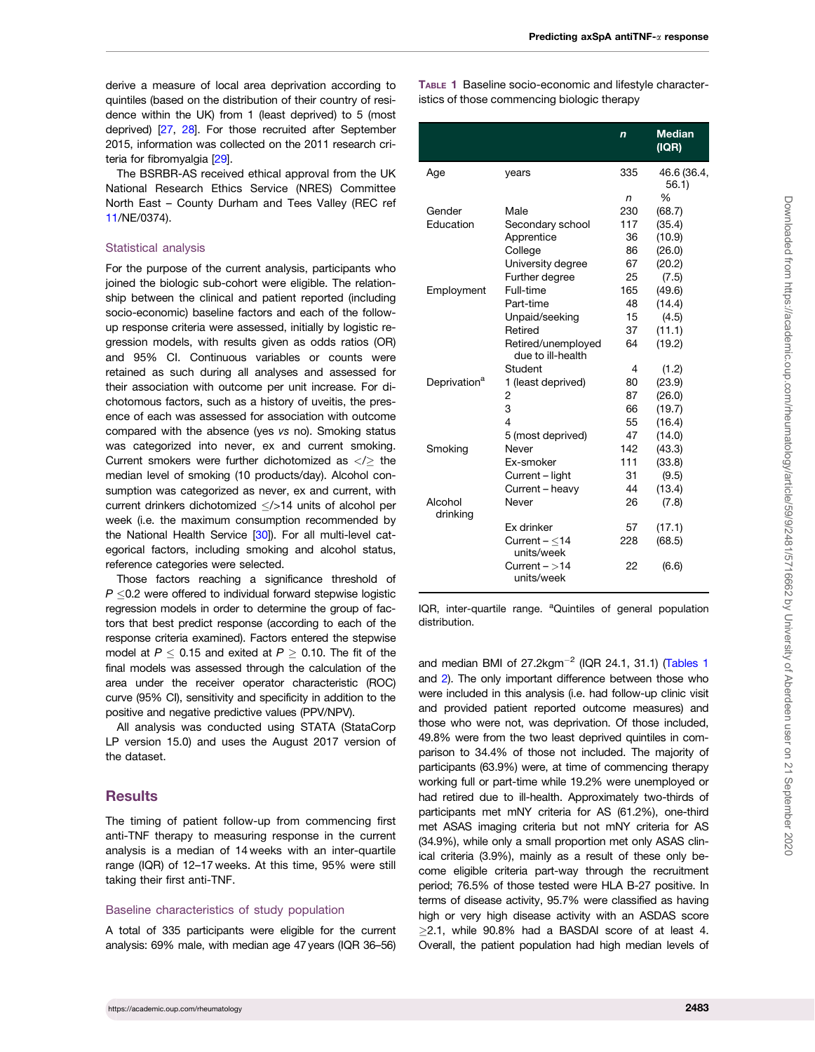<span id="page-2-0"></span>derive a measure of local area deprivation according to quintiles (based on the distribution of their country of residence within the UK) from 1 (least deprived) to 5 (most deprived) [[27,](#page-9-0) [28](#page-9-0)]. For those recruited after September 2015, information was collected on the 2011 research criteria for fibromyalgia [\[29](#page-9-0)].

The BSRBR-AS received ethical approval from the UK National Research Ethics Service (NRES) Committee North East – County Durham and Tees Valley (REC ref [11/](#page-8-0)NE/0374).

#### Statistical analysis

For the purpose of the current analysis, participants who joined the biologic sub-cohort were eligible. The relationship between the clinical and patient reported (including socio-economic) baseline factors and each of the followup response criteria were assessed, initially by logistic regression models, with results given as odds ratios (OR) and 95% CI. Continuous variables or counts were retained as such during all analyses and assessed for their association with outcome per unit increase. For dichotomous factors, such as a history of uveitis, the presence of each was assessed for association with outcome compared with the absence (yes vs no). Smoking status was categorized into never, ex and current smoking. Current smokers were further dichotomized as  $\langle\rangle$  the median level of smoking (10 products/day). Alcohol consumption was categorized as never, ex and current, with current drinkers dichotomized  $\langle$  >14 units of alcohol per week (i.e. the maximum consumption recommended by the National Health Service [\[30](#page-9-0)]). For all multi-level categorical factors, including smoking and alcohol status, reference categories were selected.

Those factors reaching a significance threshold of  $P \leq 0.2$  were offered to individual forward stepwise logistic regression models in order to determine the group of factors that best predict response (according to each of the response criteria examined). Factors entered the stepwise model at  $P \leq$  0.15 and exited at  $P \geq$  0.10. The fit of the final models was assessed through the calculation of the area under the receiver operator characteristic (ROC) curve (95% CI), sensitivity and specificity in addition to the positive and negative predictive values (PPV/NPV).

All analysis was conducted using STATA (StataCorp LP version 15.0) and uses the August 2017 version of the dataset.

#### **Results**

The timing of patient follow-up from commencing first anti-TNF therapy to measuring response in the current analysis is a median of 14 weeks with an inter-quartile range (IQR) of 12–17 weeks. At this time, 95% were still taking their first anti-TNF.

#### Baseline characteristics of study population

A total of 335 participants were eligible for the current analysis: 69% male, with median age 47 years (IQR 36–56) TABLE 1 Baseline socio-economic and lifestyle characteristics of those commencing biologic therapy

|                          |                                         | $\mathbf n$ | <b>Median</b><br>(IQR) |
|--------------------------|-----------------------------------------|-------------|------------------------|
| Age                      | years                                   | 335         | 46.6 (36.4,<br>56.1    |
|                          |                                         | n           | %                      |
| Gender                   | Male                                    | 230         | (68.7)                 |
| Education                | Secondary school                        | 117         | (35.4)                 |
|                          | Apprentice                              | 36          | (10.9)                 |
|                          | College                                 | 86          | (26.0)                 |
|                          | University degree                       | 67          | (20.2)                 |
|                          | Further degree                          | 25          | (7.5)                  |
| Employment               | Full-time                               | 165         | (49.6)                 |
|                          | Part-time                               | 48          | (14.4)                 |
|                          | Unpaid/seeking                          | 15          | (4.5)                  |
|                          | Retired                                 | 37          | (11.1)                 |
|                          | Retired/unemployed<br>due to ill-health | 64          | (19.2)                 |
|                          | Student                                 | 4           | (1.2)                  |
| Deprivation <sup>a</sup> | 1 (least deprived)                      | 80          | (23.9)                 |
|                          | $\overline{c}$                          | 87          | (26.0)                 |
|                          | 3                                       | 66          | (19.7)                 |
|                          | 4                                       | 55          | (16.4)                 |
|                          | 5 (most deprived)                       | 47          | (14.0)                 |
| Smoking                  | Never                                   | 142         | (43.3)                 |
|                          | Ex-smoker                               | 111         | (33.8)                 |
|                          | Current - light                         | 31          | (9.5)                  |
|                          | Current - heavy                         | 44          | (13.4)                 |
| Alcohol<br>drinking      | Never                                   | 26          | (7.8)                  |
|                          | Ex drinker                              | 57          | (17.1)                 |
|                          | Current $ <$ 14<br>units/week           | 228         | (68.5)                 |
|                          | Current $ >$ 14<br>units/week           | 22          | (6.6)                  |

IQR, inter-quartile range. <sup>a</sup>Quintiles of general population distribution.

and median BMI of  $27.2$ kgm<sup>-2</sup> (IQR 24.1, 31.1) (Tables 1 and [2\)](#page-3-0). The only important difference between those who were included in this analysis (i.e. had follow-up clinic visit and provided patient reported outcome measures) and those who were not, was deprivation. Of those included, 49.8% were from the two least deprived quintiles in comparison to 34.4% of those not included. The majority of participants (63.9%) were, at time of commencing therapy working full or part-time while 19.2% were unemployed or had retired due to ill-health. Approximately two-thirds of participants met mNY criteria for AS (61.2%), one-third met ASAS imaging criteria but not mNY criteria for AS (34.9%), while only a small proportion met only ASAS clinical criteria (3.9%), mainly as a result of these only become eligible criteria part-way through the recruitment period; 76.5% of those tested were HLA B-27 positive. In terms of disease activity, 95.7% were classified as having high or very high disease activity with an ASDAS score  $\geq$ 2.1, while 90.8% had a BASDAI score of at least 4. Overall, the patient population had high median levels of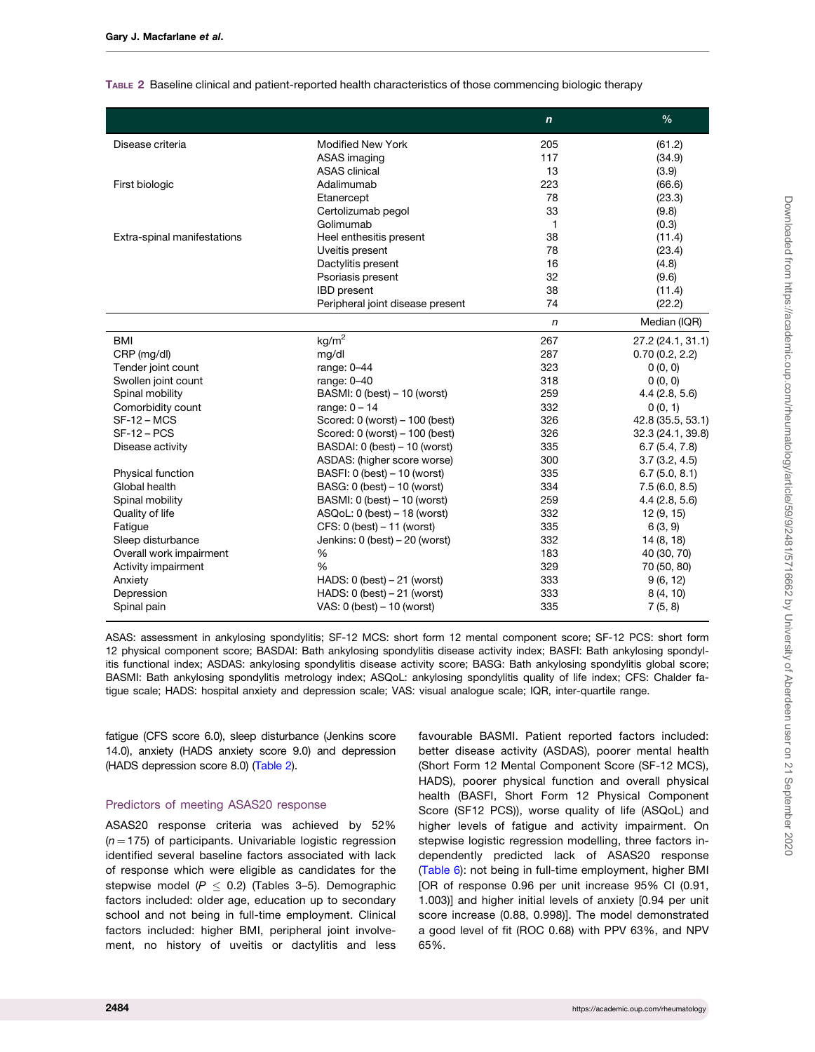|                             |                                   | $\boldsymbol{n}$ | $\frac{0}{0}$     |
|-----------------------------|-----------------------------------|------------------|-------------------|
| Disease criteria            | <b>Modified New York</b>          | 205              | (61.2)            |
|                             | ASAS imaging                      | 117              | (34.9)            |
|                             | <b>ASAS</b> clinical              | 13               | (3.9)             |
| First biologic              | Adalimumab                        | 223              | (66.6)            |
|                             | Etanercept                        | 78               | (23.3)            |
|                             | Certolizumab pegol                | 33               | (9.8)             |
|                             | Golimumab                         | 1                | (0.3)             |
| Extra-spinal manifestations | Heel enthesitis present           | 38               | (11.4)            |
|                             | Uveitis present                   | 78               | (23.4)            |
|                             | Dactylitis present                | 16               | (4.8)             |
|                             | Psoriasis present                 | 32               | (9.6)             |
|                             | <b>IBD</b> present                | 38               | (11.4)            |
|                             | Peripheral joint disease present  | 74               | (22.2)            |
|                             |                                   | $\sqrt{n}$       | Median (IQR)      |
| <b>BMI</b>                  | kg/m <sup>2</sup>                 | 267              | 27.2 (24.1, 31.1) |
| CRP (mg/dl)                 | mg/dl                             | 287              | 0.70(0.2, 2.2)    |
| Tender joint count          | range: $0-44$                     | 323              | 0(0, 0)           |
| Swollen joint count         | range: 0-40                       | 318              | 0(0, 0)           |
| Spinal mobility             | BASMI: 0 (best) - 10 (worst)      | 259              | 4.4(2.8, 5.6)     |
| Comorbidity count           | range: $0 - 14$                   | 332              | 0(0, 1)           |
| $SF-12 - MCS$               | Scored: $0$ (worst) $-100$ (best) | 326              | 42.8 (35.5, 53.1) |
| $SF-12 - PCS$               | Scored: 0 (worst) - 100 (best)    | 326              | 32.3 (24.1, 39.8) |
| Disease activity            | BASDAI: 0 (best) - 10 (worst)     | 335              | 6.7(5.4, 7.8)     |
|                             | ASDAS: (higher score worse)       | 300              | 3.7(3.2, 4.5)     |
| Physical function           | BASFI: 0 (best) – 10 (worst)      | 335              | 6.7(5.0, 8.1)     |
| Global health               | BASG: 0 (best) - 10 (worst)       | 334              | 7.5(6.0, 8.5)     |
| Spinal mobility             | BASMI: 0 (best) - 10 (worst)      | 259              | 4.4(2.8, 5.6)     |
| Quality of life             | $ASQoL: 0$ (best) $-18$ (worst)   | 332              | 12(9, 15)         |
| Fatigue                     | $CFS: 0$ (best) $-11$ (worst)     | 335              | 6(3, 9)           |
| Sleep disturbance           | Jenkins: 0 (best) - 20 (worst)    | 332              | 14(8, 18)         |
| Overall work impairment     | %                                 | 183              | 40 (30, 70)       |
| Activity impairment         | %                                 | 329              | 70 (50, 80)       |
| Anxiety                     | HADS: $0$ (best) $-21$ (worst)    | 333              | 9(6, 12)          |
| Depression                  | HADS: $0$ (best) $-21$ (worst)    | 333              | 8(4, 10)          |
| Spinal pain                 | VAS: $0$ (best) $-10$ (worst)     | 335              | 7(5, 8)           |

<span id="page-3-0"></span>TABLE 2 Baseline clinical and patient-reported health characteristics of those commencing biologic therapy

ASAS: assessment in ankylosing spondylitis; SF-12 MCS: short form 12 mental component score; SF-12 PCS: short form 12 physical component score; BASDAI: Bath ankylosing spondylitis disease activity index; BASFI: Bath ankylosing spondylitis functional index; ASDAS: ankylosing spondylitis disease activity score; BASG: Bath ankylosing spondylitis global score; BASMI: Bath ankylosing spondylitis metrology index; ASQoL: ankylosing spondylitis quality of life index; CFS: Chalder fatigue scale; HADS: hospital anxiety and depression scale; VAS: visual analogue scale; IQR, inter-quartile range.

fatigue (CFS score 6.0), sleep disturbance (Jenkins score 14.0), anxiety (HADS anxiety score 9.0) and depression (HADS depression score 8.0) (Table 2).

#### Predictors of meeting ASAS20 response

ASAS20 response criteria was achieved by 52%  $(n = 175)$  of participants. Univariable logistic regression identified several baseline factors associated with lack of response which were eligible as candidates for the stepwise model ( $P \le 0.2$ ) (Tables 3-5). Demographic factors included: older age, education up to secondary school and not being in full-time employment. Clinical factors included: higher BMI, peripheral joint involvement, no history of uveitis or dactylitis and less

favourable BASMI. Patient reported factors included: better disease activity (ASDAS), poorer mental health (Short Form 12 Mental Component Score (SF-12 MCS), HADS), poorer physical function and overall physical health (BASFI, Short Form 12 Physical Component Score (SF12 PCS)), worse quality of life (ASQoL) and higher levels of fatigue and activity impairment. On stepwise logistic regression modelling, three factors independently predicted lack of ASAS20 response ([Table 6\)](#page-6-0): not being in full-time employment, higher BMI [OR of response 0.96 per unit increase 95% CI (0.91, 1.003)] and higher initial levels of anxiety [0.94 per unit score increase (0.88, 0.998)]. The model demonstrated a good level of fit (ROC 0.68) with PPV 63%, and NPV 65%.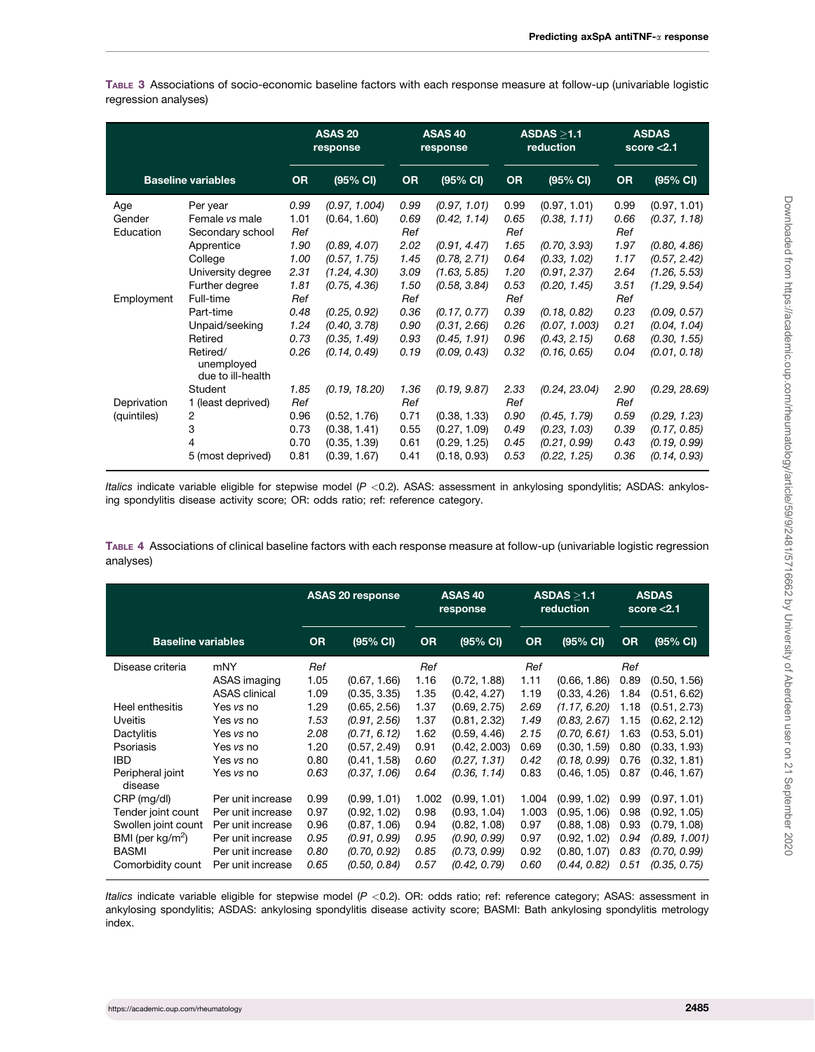TABLE 3 Associations of socio-economic baseline factors with each response measure at follow-up (univariable logistic regression analyses)

|                            |                                                                                                                |                                                     | <b>ASAS 20</b><br>response                                                                    |                                                     | <b>ASAS 40</b><br>response                                                                   |                                                     | ASDAS > 1.1<br>reduction                                                                     | <b>ASDAS</b><br>score $< 2.1$                       |                                                                                              |
|----------------------------|----------------------------------------------------------------------------------------------------------------|-----------------------------------------------------|-----------------------------------------------------------------------------------------------|-----------------------------------------------------|----------------------------------------------------------------------------------------------|-----------------------------------------------------|----------------------------------------------------------------------------------------------|-----------------------------------------------------|----------------------------------------------------------------------------------------------|
| <b>Baseline variables</b>  |                                                                                                                | <b>OR</b>                                           | (95% CI)                                                                                      | <b>OR</b>                                           | (95% CI)                                                                                     | <b>OR</b>                                           | (95% CI)                                                                                     | <b>OR</b>                                           | (95% CI)                                                                                     |
| Age<br>Gender<br>Education | Per year<br>Female vs male<br>Secondary school<br>Apprentice<br>College<br>University degree<br>Further degree | 0.99<br>1.01<br>Ref<br>1.90<br>1.00<br>2.31<br>1.81 | (0.97, 1.004)<br>(0.64, 1.60)<br>(0.89, 4.07)<br>(0.57, 1.75)<br>(1.24, 4.30)<br>(0.75, 4.36) | 0.99<br>0.69<br>Ref<br>2.02<br>1.45<br>3.09<br>1.50 | (0.97, 1.01)<br>(0.42, 1.14)<br>(0.91, 4.47)<br>(0.78, 2.71)<br>(1.63, 5.85)<br>(0.58, 3.84) | 0.99<br>0.65<br>Ref<br>1.65<br>0.64<br>1.20<br>0.53 | (0.97, 1.01)<br>(0.38, 1.11)<br>(0.70, 3.93)<br>(0.33, 1.02)<br>(0.91, 2.37)<br>(0.20, 1.45) | 0.99<br>0.66<br>Ref<br>1.97<br>1.17<br>2.64<br>3.51 | (0.97, 1.01)<br>(0.37, 1.18)<br>(0.80, 4.86)<br>(0.57, 2.42)<br>(1.26, 5.53)<br>(1.29, 9.54) |
| Employment                 | Full-time<br>Part-time<br>Unpaid/seeking<br>Retired<br>Retired/<br>unemployed<br>due to ill-health             | Ref<br>0.48<br>1.24<br>0.73<br>0.26                 | (0.25, 0.92)<br>(0.40, 3.78)<br>(0.35, 1.49)<br>(0.14, 0.49)                                  | Ref<br>0.36<br>0.90<br>0.93<br>0.19                 | (0.17, 0.77)<br>(0.31, 2.66)<br>(0.45, 1.91)<br>(0.09, 0.43)                                 | Ref<br>0.39<br>0.26<br>0.96<br>0.32                 | (0.18, 0.82)<br>(0.07, 1.003)<br>(0.43, 2.15)<br>(0.16, 0.65)                                | Ref<br>0.23<br>0.21<br>0.68<br>0.04                 | (0.09, 0.57)<br>(0.04, 1.04)<br>(0.30, 1.55)<br>(0.01, 0.18)                                 |
| Deprivation<br>(quintiles) | <b>Student</b><br>1 (least deprived)<br>2<br>3<br>4<br>5 (most deprived)                                       | 1.85<br>Ref<br>0.96<br>0.73<br>0.70<br>0.81         | (0.19, 18.20)<br>(0.52, 1.76)<br>(0.38, 1.41)<br>(0.35, 1.39)<br>(0.39, 1.67)                 | 1.36<br>Ref<br>0.71<br>0.55<br>0.61<br>0.41         | (0.19, 9.87)<br>(0.38, 1.33)<br>(0.27, 1.09)<br>(0.29, 1.25)<br>(0.18, 0.93)                 | 2.33<br>Ref<br>0.90<br>0.49<br>0.45<br>0.53         | (0.24, 23.04)<br>(0.45, 1.79)<br>(0.23, 1.03)<br>(0.21, 0.99)<br>(0.22, 1.25)                | 2.90<br>Ref<br>0.59<br>0.39<br>0.43<br>0.36         | (0.29, 28.69)<br>(0.29, 1.23)<br>(0.17, 0.85)<br>(0.19, 0.99)<br>(0.14, 0.93)                |

Italics indicate variable eligible for stepwise model ( $P < 0.2$ ). ASAS: assessment in ankylosing spondylitis; ASDAS: ankylosing spondylitis disease activity score; OR: odds ratio; ref: reference category.

TABLE 4 Associations of clinical baseline factors with each response measure at follow-up (univariable logistic regression analyses)

|                             |                      |           | <b>ASAS 20 response</b> |           | ASAS <sub>40</sub><br>response |           | ASDAS > 1.1<br>reduction |           | <b>ASDAS</b><br>score $<$ 2.1 |
|-----------------------------|----------------------|-----------|-------------------------|-----------|--------------------------------|-----------|--------------------------|-----------|-------------------------------|
| <b>Baseline variables</b>   |                      | <b>OR</b> | (95% CI)                | <b>OR</b> | (95% CI)                       | <b>OR</b> | (95% CI)                 | <b>OR</b> | (95% CI)                      |
| Disease criteria            | mNY                  | Ref       |                         | Ref       |                                | Ref       |                          | Ref       |                               |
|                             | ASAS imaging         | 1.05      | (0.67, 1.66)            | 1.16      | (0.72, 1.88)                   | 1.11      | (0.66, 1.86)             | 0.89      | (0.50, 1.56)                  |
|                             | <b>ASAS</b> clinical | 1.09      | (0.35, 3.35)            | 1.35      | (0.42, 4.27)                   | 1.19      | (0.33, 4.26)             | 1.84      | (0.51, 6.62)                  |
| Heel enthesitis             | Yes vs no            | 1.29      | (0.65, 2.56)            | 1.37      | (0.69, 2.75)                   | 2.69      | (1.17, 6.20)             | 1.18      | (0.51, 2.73)                  |
| <b>Uveitis</b>              | Yes vs no            | 1.53      | (0.91, 2.56)            | 1.37      | (0.81, 2.32)                   | 1.49      | (0.83, 2.67)             | 1.15      | (0.62, 2.12)                  |
| Dactylitis                  | Yes vs no            | 2.08      | (0.71, 6.12)            | 1.62      | (0.59, 4.46)                   | 2.15      | (0.70, 6.61)             | 1.63      | (0.53, 5.01)                  |
| Psoriasis                   | Yes vs no            | 1.20      | (0.57, 2.49)            | 0.91      | (0.42, 2.003)                  | 0.69      | (0.30, 1.59)             | 0.80      | (0.33, 1.93)                  |
| <b>IBD</b>                  | Yes vs no            | 0.80      | (0.41, 1.58)            | 0.60      | (0.27, 1.31)                   | 0.42      | (0.18, 0.99)             | 0.76      | (0.32, 1.81)                  |
| Peripheral joint<br>disease | Yes vs no            | 0.63      | (0.37, 1.06)            | 0.64      | (0.36, 1.14)                   | 0.83      | (0.46, 1.05)             | 0.87      | (0.46, 1.67)                  |
| CRP (mg/dl)                 | Per unit increase    | 0.99      | (0.99, 1.01)            | 1.002     | (0.99, 1.01)                   | 1.004     | (0.99, 1.02)             | 0.99      | (0.97, 1.01)                  |
| Tender joint count          | Per unit increase    | 0.97      | (0.92, 1.02)            | 0.98      | (0.93, 1.04)                   | 1.003     | (0.95, 1.06)             | 0.98      | (0.92, 1.05)                  |
| Swollen joint count         | Per unit increase    | 0.96      | (0.87, 1.06)            | 0.94      | (0.82, 1.08)                   | 0.97      | (0.88, 1.08)             | 0.93      | (0.79, 1.08)                  |
| BMI (per $kg/m^2$ )         | Per unit increase    | 0.95      | (0.91, 0.99)            | 0.95      | (0.90, 0.99)                   | 0.97      | (0.92, 1.02)             | 0.94      | (0.89, 1.001)                 |
| <b>BASMI</b>                | Per unit increase    | 0.80      | (0.70, 0.92)            | 0.85      | (0.73, 0.99)                   | 0.92      | (0.80, 1.07)             | 0.83      | (0.70, 0.99)                  |
| Comorbidity count           | Per unit increase    | 0.65      | (0.50, 0.84)            | 0.57      | (0.42, 0.79)                   | 0.60      | (0.44, 0.82)             | 0.51      | (0.35, 0.75)                  |

Italics indicate variable eligible for stepwise model  $(P < 0.2)$ . OR: odds ratio; ref: reference category; ASAS: assessment in ankylosing spondylitis; ASDAS: ankylosing spondylitis disease activity score; BASMI: Bath ankylosing spondylitis metrology index.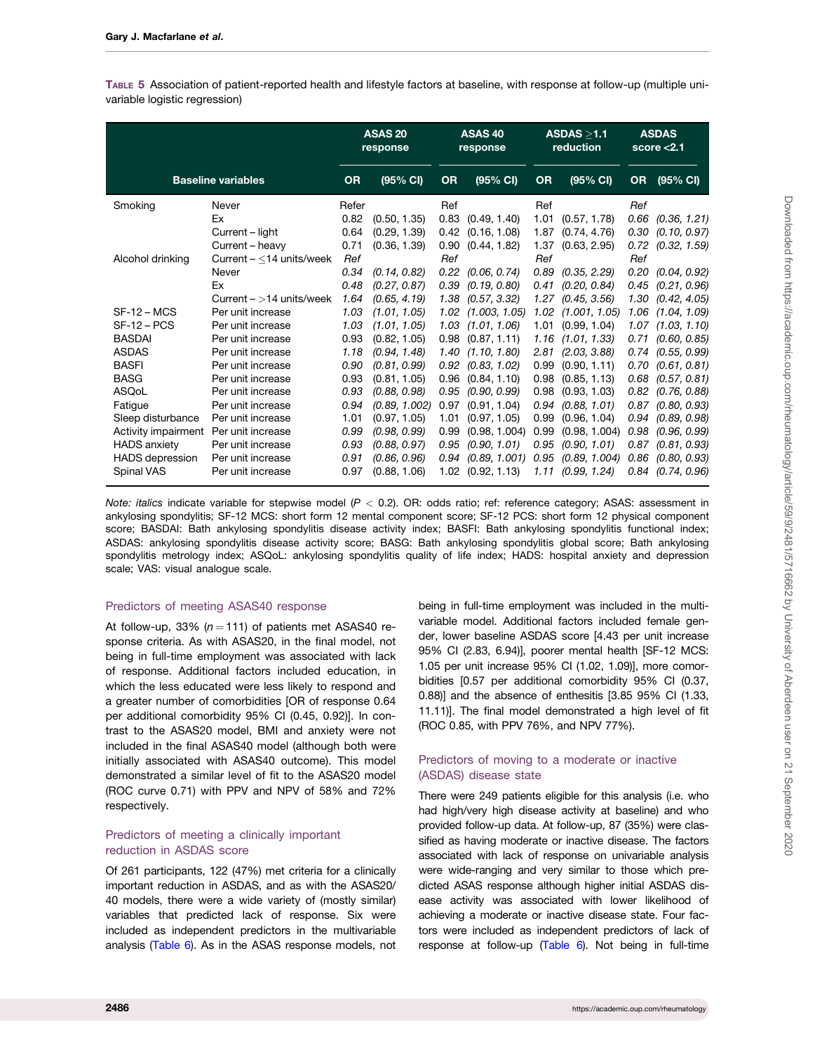TABLE 5 Association of patient-reported health and lifestyle factors at baseline, with response at follow-up (multiple univariable logistic regression)

|                           |                            | <b>ASAS 20</b><br>response |               | ASAS <sub>40</sub><br>response |                       | ASDAS > 1.1<br>reduction |                       |           | <b>ASDAS</b><br>score $< 2.1$ |
|---------------------------|----------------------------|----------------------------|---------------|--------------------------------|-----------------------|--------------------------|-----------------------|-----------|-------------------------------|
| <b>Baseline variables</b> |                            | <b>OR</b>                  | (95% CI)      | <b>OR</b>                      | (95% CI)              | <b>OR</b>                | (95% CI)              | <b>OR</b> | (95% CI)                      |
| Smoking                   | Never                      | Refer                      |               | Ref                            |                       | Ref                      |                       | Ref       |                               |
|                           | Ex                         | 0.82                       | (0.50, 1.35)  | 0.83                           | (0.49, 1.40)          | 1.01                     | (0.57, 1.78)          | 0.66      | (0.36, 1.21)                  |
|                           | Current – light            | 0.64                       | (0.29, 1.39)  | 0.42                           | (0.16, 1.08)          | 1.87                     | (0.74, 4.76)          | 0.30      | (0.10, 0.97)                  |
|                           | Current - heavy            | 0.71                       | (0.36, 1.39)  | 0.90                           | (0.44, 1.82)          |                          | 1.37 (0.63, 2.95)     | 0.72      | (0.32, 1.59)                  |
| Alcohol drinking          | Current $-$ <14 units/week | Ref                        |               | Ref                            |                       | Ref                      |                       | Ref       |                               |
|                           | Never                      | 0.34                       | (0.14, 0.82)  | 0.22                           | (0.06, 0.74)          | 0.89                     | (0.35, 2.29)          |           | $0.20$ $(0.04, 0.92)$         |
|                           | Ex                         | 0.48                       | (0.27, 0.87)  | 0.39                           | (0.19, 0.80)          | 0.41                     | (0.20, 0.84)          | 0.45      | (0.21, 0.96)                  |
|                           | Current $-$ >14 units/week | 1.64                       | (0.65, 4.19)  | 1.38                           | (0.57, 3.32)          |                          | $1.27$ (0.45, 3.56)   | 1.30      | (0.42, 4.05)                  |
| $SF-12 - MCS$             | Per unit increase          | 1.03                       | (1.01, 1.05)  | 1.02                           | (1.003, 1.05)         |                          | 1.02 (1.001, 1.05)    | 1.06      | (1.04, 1.09)                  |
| $SF-12 - PCS$             | Per unit increase          | 1.03                       | (1.01, 1.05)  | 1.03                           | (1.01, 1.06)          |                          | $1.01$ $(0.99, 1.04)$ |           | $1.07$ $(1.03, 1.10)$         |
| <b>BASDAI</b>             | Per unit increase          | 0.93                       | (0.82, 1.05)  | 0.98                           | (0.87, 1.11)          | 1.16                     | (1.01, 1.33)          | 0.71      | (0.60, 0.85)                  |
| <b>ASDAS</b>              | Per unit increase          | 1.18                       | (0.94, 1.48)  | 1.40                           | (1.10, 1.80)          | 2.81                     | (2.03, 3.88)          | 0.74      | (0.55, 0.99)                  |
| <b>BASFI</b>              | Per unit increase          | 0.90                       | (0.81, 0.99)  | 0.92                           | (0.83, 1.02)          | 0.99                     | (0.90, 1.11)          | 0.70      | (0.61, 0.81)                  |
| <b>BASG</b>               | Per unit increase          | 0.93                       | (0.81, 1.05)  | 0.96                           | (0.84, 1.10)          | 0.98                     | (0.85, 1.13)          |           | $0.68$ $(0.57, 0.81)$         |
| ASQoL                     | Per unit increase          | 0.93                       | (0.88, 0.98)  | 0.95                           | (0.90, 0.99)          | 0.98                     | (0.93, 1.03)          | 0.82      | (0.76, 0.88)                  |
| Fatigue                   | Per unit increase          | 0.94                       | (0.89, 1.002) | 0.97                           | (0.91, 1.04)          | 0.94                     | (0.88, 1.01)          |           | $0.87$ $(0.80, 0.93)$         |
| Sleep disturbance         | Per unit increase          | 1.01                       | (0.97, 1.05)  | 1.01                           | (0.97, 1.05)          | 0.99                     | (0.96, 1.04)          |           | $0.94$ $(0.89, 0.98)$         |
| Activity impairment       | Per unit increase          | 0.99                       | (0.98, 0.99)  | 0.99                           | (0.98, 1.004)         | 0.99                     | (0.98, 1.004)         | 0.98      | (0.96, 0.99)                  |
| <b>HADS</b> anxiety       | Per unit increase          | 0.93                       | (0.88, 0.97)  | 0.95                           | (0.90, 1.01)          |                          | $0.95$ $(0.90, 1.01)$ |           | $0.87$ $(0.81, 0.93)$         |
| <b>HADS</b> depression    | Per unit increase          | 0.91                       | (0.86, 0.96)  | 0.94                           | (0.89, 1.001)         | 0.95                     | (0.89, 1.004)         | 0.86      | (0.80, 0.93)                  |
| Spinal VAS                | Per unit increase          | 0.97                       | (0.88, 1.06)  |                                | $1.02$ $(0.92, 1.13)$ |                          | $1.11$ (0.99, 1.24)   |           | $0.84$ $(0.74, 0.96)$         |

Note: italics indicate variable for stepwise model  $(P < 0.2)$ . OR: odds ratio; ref: reference category; ASAS: assessment in ankylosing spondylitis; SF-12 MCS: short form 12 mental component score; SF-12 PCS: short form 12 physical component score; BASDAI: Bath ankylosing spondylitis disease activity index; BASFI: Bath ankylosing spondylitis functional index; ASDAS: ankylosing spondylitis disease activity score; BASG: Bath ankylosing spondylitis global score; Bath ankylosing spondylitis metrology index; ASQoL: ankylosing spondylitis quality of life index; HADS: hospital anxiety and depression scale; VAS: visual analogue scale.

### Predictors of meeting ASAS40 response

At follow-up, 33% ( $n = 111$ ) of patients met ASAS40 response criteria. As with ASAS20, in the final model, not being in full-time employment was associated with lack of response. Additional factors included education, in which the less educated were less likely to respond and a greater number of comorbidities [OR of response 0.64 per additional comorbidity 95% CI (0.45, 0.92)]. In contrast to the ASAS20 model, BMI and anxiety were not included in the final ASAS40 model (although both were initially associated with ASAS40 outcome). This model demonstrated a similar level of fit to the ASAS20 model (ROC curve 0.71) with PPV and NPV of 58% and 72% respectively.

#### Predictors of meeting a clinically important reduction in ASDAS score

Of 261 participants, 122 (47%) met criteria for a clinically important reduction in ASDAS, and as with the ASAS20/ 40 models, there were a wide variety of (mostly similar) variables that predicted lack of response. Six were included as independent predictors in the multivariable analysis ([Table 6](#page-6-0)). As in the ASAS response models, not

being in full-time employment was included in the multivariable model. Additional factors included female gender, lower baseline ASDAS score [4.43 per unit increase 95% CI (2.83, 6.94)], poorer mental health [SF-12 MCS: 1.05 per unit increase 95% CI (1.02, 1.09)], more comorbidities [0.57 per additional comorbidity 95% CI (0.37, 0.88)] and the absence of enthesitis [3.85 95% CI (1.33, 11.11)]. The final model demonstrated a high level of fit (ROC 0.85, with PPV 76%, and NPV 77%).

## Predictors of moving to a moderate or inactive (ASDAS) disease state

There were 249 patients eligible for this analysis (i.e. who had high/very high disease activity at baseline) and who provided follow-up data. At follow-up, 87 (35%) were classified as having moderate or inactive disease. The factors associated with lack of response on univariable analysis were wide-ranging and very similar to those which predicted ASAS response although higher initial ASDAS disease activity was associated with lower likelihood of achieving a moderate or inactive disease state. Four factors were included as independent predictors of lack of response at follow-up ([Table 6\)](#page-6-0). Not being in full-time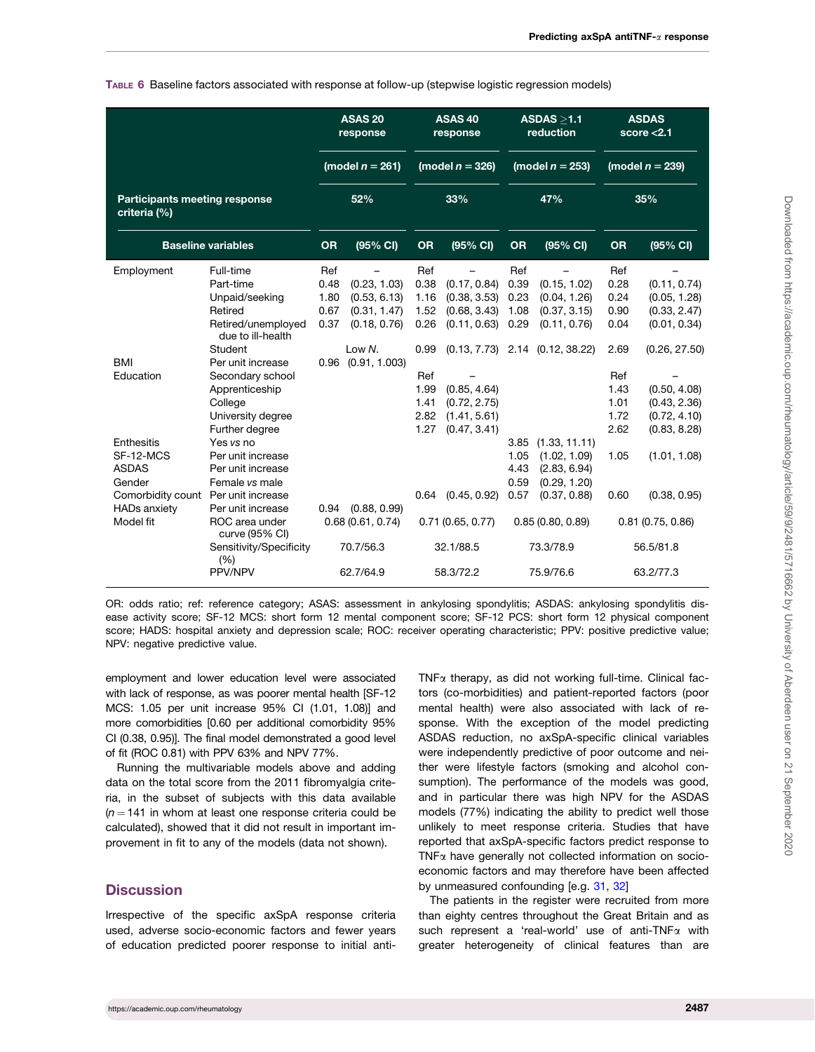<span id="page-6-0"></span>TABLE 6 Baseline factors associated with response at follow-up (stepwise logistic regression models)

|                                                      |                                         | <b>ASAS 20</b><br>response |                                                  |           | ASAS <sub>40</sub><br>response                 |      | ASDAS > 1.1<br>reduction            | <b>ASDAS</b><br>score $<$ 2.1 |                  |
|------------------------------------------------------|-----------------------------------------|----------------------------|--------------------------------------------------|-----------|------------------------------------------------|------|-------------------------------------|-------------------------------|------------------|
|                                                      |                                         |                            | (model $n = 261$ )                               |           | (model $n = 326$ )                             |      | (model $n = 253$ )                  | (model $n = 239$ )            |                  |
| <b>Participants meeting response</b><br>criteria (%) |                                         | 52%                        |                                                  |           | 33%                                            |      | 47%                                 | 35%                           |                  |
|                                                      | <b>Baseline variables</b>               | <b>OR</b>                  | (95% CI)                                         | <b>OR</b> | (95% CI)<br><b>OR</b><br>(95% CI)<br><b>OR</b> |      | (95% CI)                            |                               |                  |
| Employment                                           | Full-time                               | Ref                        |                                                  | Ref       |                                                | Ref  |                                     | Ref                           |                  |
|                                                      | Part-time                               | 0.48                       | (0.23, 1.03)                                     | 0.38      | (0.17, 0.84)                                   | 0.39 | (0.15, 1.02)                        | 0.28                          | (0.11, 0.74)     |
|                                                      | Unpaid/seeking                          | 1.80                       | (0.53, 6.13)                                     | 1.16      | (0.38, 3.53)                                   | 0.23 | (0.04, 1.26)                        | 0.24                          | (0.05, 1.28)     |
|                                                      | Retired                                 | 0.67                       | (0.31, 1.47)                                     | 1.52      | (0.68, 3.43)                                   | 1.08 | (0.37, 3.15)                        | 0.90                          | (0.33, 2.47)     |
|                                                      | Retired/unemployed<br>due to ill-health | 0.37                       | (0.18, 0.76)                                     | 0.26      | (0.11, 0.63)                                   | 0.29 | (0.11, 0.76)                        | 0.04                          | (0.01, 0.34)     |
|                                                      | <b>Student</b>                          |                            | Low N.                                           | 0.99      |                                                |      | $(0.13, 7.73)$ 2.14 $(0.12, 38.22)$ | 2.69                          | (0.26, 27.50)    |
| <b>BMI</b>                                           | Per unit increase                       | 0.96                       | (0.91, 1.003)                                    |           |                                                |      |                                     |                               |                  |
| Education                                            | Secondary school                        |                            |                                                  | Ref       |                                                |      |                                     | Ref                           |                  |
|                                                      | Apprenticeship                          |                            |                                                  | 1.99      | (0.85, 4.64)                                   |      |                                     | 1.43                          | (0.50, 4.08)     |
|                                                      | College                                 |                            |                                                  | 1.41      | (0.72, 2.75)                                   |      |                                     | 1.01                          | (0.43, 2.36)     |
|                                                      | University degree                       |                            |                                                  | 2.82      | (1.41, 5.61)                                   |      |                                     | 1.72                          | (0.72, 4.10)     |
|                                                      | Further degree                          |                            |                                                  | 1.27      | (0.47, 3.41)                                   |      |                                     | 2.62                          | (0.83, 8.28)     |
| Enthesitis                                           | Yes vs no                               |                            |                                                  |           |                                                | 3.85 | (1.33, 11.11)                       |                               |                  |
| SF-12-MCS                                            | Per unit increase                       |                            |                                                  |           |                                                | 1.05 | (1.02, 1.09)                        | 1.05                          | (1.01, 1.08)     |
| <b>ASDAS</b>                                         | Per unit increase                       |                            |                                                  |           |                                                | 4.43 | (2.83, 6.94)                        |                               |                  |
| Gender                                               | Female vs male                          |                            |                                                  |           |                                                | 0.59 | (0.29, 1.20)                        |                               |                  |
| Comorbidity count                                    | Per unit increase                       |                            |                                                  | 0.64      | (0.45, 0.92)                                   | 0.57 | (0.37, 0.88)                        | 0.60                          | (0.38, 0.95)     |
| <b>HADs anxiety</b>                                  | Per unit increase                       | 0.94                       | (0.88, 0.99)                                     |           |                                                |      |                                     |                               |                  |
| Model fit                                            | ROC area under<br>curve (95% CI)        |                            | 0.68(0.61, 0.74)                                 |           | 0.71(0.65, 0.77)                               |      | 0.85(0.80, 0.89)                    |                               | 0.81(0.75, 0.86) |
|                                                      | Sensitivity/Specificity<br>(% )         |                            | 70.7/56.3<br>32.1/88.5<br>62.7/64.9<br>58.3/72.2 |           | 73.3/78.9                                      |      | 56.5/81.8                           |                               |                  |
|                                                      | PPV/NPV                                 |                            |                                                  |           |                                                |      | 75.9/76.6                           |                               | 63.2/77.3        |

OR: odds ratio; ref: reference category; ASAS: assessment in ankylosing spondylitis; ASDAS: ankylosing spondylitis disease activity score; SF-12 MCS: short form 12 mental component score; SF-12 PCS: short form 12 physical component score; HADS: hospital anxiety and depression scale; ROC: receiver operating characteristic; PPV: positive predictive value; NPV: negative predictive value.

employment and lower education level were associated with lack of response, as was poorer mental health [SF-12 MCS: 1.05 per unit increase 95% CI (1.01, 1.08)] and more comorbidities [0.60 per additional comorbidity 95% CI (0.38, 0.95)]. The final model demonstrated a good level of fit (ROC 0.81) with PPV 63% and NPV 77%.

Running the multivariable models above and adding data on the total score from the 2011 fibromyalgia criteria, in the subset of subjects with this data available  $(n = 141$  in whom at least one response criteria could be calculated), showed that it did not result in important improvement in fit to any of the models (data not shown).

## **Discussion**

Irrespective of the specific axSpA response criteria used, adverse socio-economic factors and fewer years of education predicted poorer response to initial anti $TNF\alpha$  therapy, as did not working full-time. Clinical factors (co-morbidities) and patient-reported factors (poor mental health) were also associated with lack of response. With the exception of the model predicting ASDAS reduction, no axSpA-specific clinical variables were independently predictive of poor outcome and neither were lifestyle factors (smoking and alcohol consumption). The performance of the models was good, and in particular there was high NPV for the ASDAS models (77%) indicating the ability to predict well those unlikely to meet response criteria. Studies that have reported that axSpA-specific factors predict response to TNFa have generally not collected information on socioeconomic factors and may therefore have been affected by unmeasured confounding [e.g. [31,](#page-9-0) [32](#page-9-0)]

The patients in the register were recruited from more than eighty centres throughout the Great Britain and as such represent a 'real-world' use of anti-TNF $\alpha$  with greater heterogeneity of clinical features than are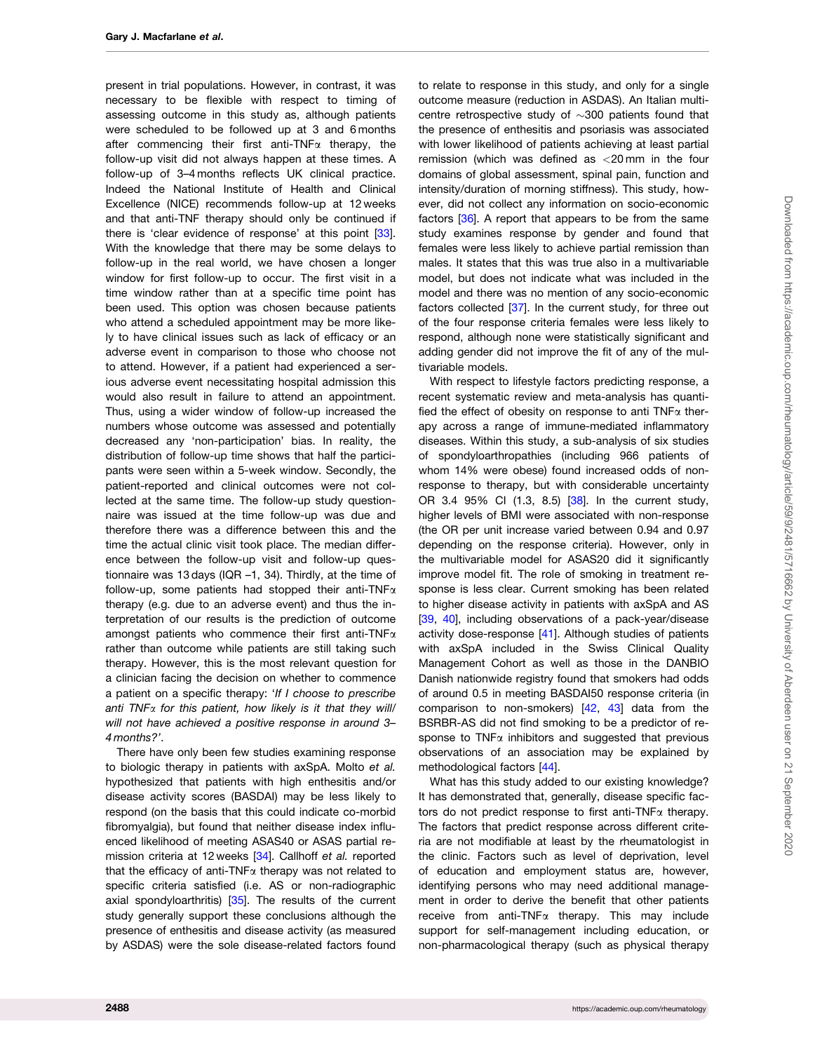<span id="page-7-0"></span>present in trial populations. However, in contrast, it was necessary to be flexible with respect to timing of assessing outcome in this study as, although patients were scheduled to be followed up at 3 and 6 months after commencing their first anti-TNF $\alpha$  therapy, the follow-up visit did not always happen at these times. A follow-up of 3–4 months reflects UK clinical practice. Indeed the National Institute of Health and Clinical Excellence (NICE) recommends follow-up at 12 weeks and that anti-TNF therapy should only be continued if there is 'clear evidence of response' at this point [[33](#page-9-0)]. With the knowledge that there may be some delays to follow-up in the real world, we have chosen a longer window for first follow-up to occur. The first visit in a time window rather than at a specific time point has been used. This option was chosen because patients who attend a scheduled appointment may be more likely to have clinical issues such as lack of efficacy or an adverse event in comparison to those who choose not to attend. However, if a patient had experienced a serious adverse event necessitating hospital admission this would also result in failure to attend an appointment. Thus, using a wider window of follow-up increased the numbers whose outcome was assessed and potentially decreased any 'non-participation' bias. In reality, the distribution of follow-up time shows that half the participants were seen within a 5-week window. Secondly, the patient-reported and clinical outcomes were not collected at the same time. The follow-up study questionnaire was issued at the time follow-up was due and therefore there was a difference between this and the time the actual clinic visit took place. The median difference between the follow-up visit and follow-up questionnaire was 13 days (IQR –1, 34). Thirdly, at the time of follow-up, some patients had stopped their anti-TNF $\alpha$ therapy (e.g. due to an adverse event) and thus the interpretation of our results is the prediction of outcome amongst patients who commence their first anti-TNF $\alpha$ rather than outcome while patients are still taking such therapy. However, this is the most relevant question for a clinician facing the decision on whether to commence a patient on a specific therapy: 'If I choose to prescribe anti TNF $\alpha$  for this patient, how likely is it that they will/ will not have achieved a positive response in around 3-4 months?'.

There have only been few studies examining response to biologic therapy in patients with axSpA. Molto et al. hypothesized that patients with high enthesitis and/or disease activity scores (BASDAI) may be less likely to respond (on the basis that this could indicate co-morbid fibromyalgia), but found that neither disease index influenced likelihood of meeting ASAS40 or ASAS partial remission criteria at 12 weeks [[34\]](#page-9-0). Callhoff et al. reported that the efficacy of anti-TNF $\alpha$  therapy was not related to specific criteria satisfied (i.e. AS or non-radiographic axial spondyloarthritis) [[35](#page-9-0)]. The results of the current study generally support these conclusions although the presence of enthesitis and disease activity (as measured by ASDAS) were the sole disease-related factors found

to relate to response in this study, and only for a single outcome measure (reduction in ASDAS). An Italian multicentre retrospective study of  $\sim$ 300 patients found that the presence of enthesitis and psoriasis was associated with lower likelihood of patients achieving at least partial remission (which was defined as <20 mm in the four domains of global assessment, spinal pain, function and intensity/duration of morning stiffness). This study, however, did not collect any information on socio-economic factors [[36\]](#page-9-0). A report that appears to be from the same study examines response by gender and found that females were less likely to achieve partial remission than males. It states that this was true also in a multivariable model, but does not indicate what was included in the model and there was no mention of any socio-economic factors collected [[37\]](#page-9-0). In the current study, for three out of the four response criteria females were less likely to respond, although none were statistically significant and adding gender did not improve the fit of any of the multivariable models.

With respect to lifestyle factors predicting response, a recent systematic review and meta-analysis has quantified the effect of obesity on response to anti  $TNF\alpha$  therapy across a range of immune-mediated inflammatory diseases. Within this study, a sub-analysis of six studies of spondyloarthropathies (including 966 patients of whom 14% were obese) found increased odds of nonresponse to therapy, but with considerable uncertainty OR 3.4 95% CI (1.3, 8.5) [[38](#page-9-0)]. In the current study, higher levels of BMI were associated with non-response (the OR per unit increase varied between 0.94 and 0.97 depending on the response criteria). However, only in the multivariable model for ASAS20 did it significantly improve model fit. The role of smoking in treatment response is less clear. Current smoking has been related to higher disease activity in patients with axSpA and AS [[39](#page-9-0), [40](#page-9-0)], including observations of a pack-year/disease activity dose-response [\[41\]](#page-9-0). Although studies of patients with axSpA included in the Swiss Clinical Quality Management Cohort as well as those in the DANBIO Danish nationwide registry found that smokers had odds of around 0.5 in meeting BASDAI50 response criteria (in comparison to non-smokers) [\[42,](#page-9-0) [43\]](#page-9-0) data from the BSRBR-AS did not find smoking to be a predictor of response to  $TNF\alpha$  inhibitors and suggested that previous observations of an association may be explained by methodological factors [\[44\]](#page-9-0).

What has this study added to our existing knowledge? It has demonstrated that, generally, disease specific factors do not predict response to first anti-TNF $\alpha$  therapy. The factors that predict response across different criteria are not modifiable at least by the rheumatologist in the clinic. Factors such as level of deprivation, level of education and employment status are, however, identifying persons who may need additional management in order to derive the benefit that other patients receive from anti-TNF $\alpha$  therapy. This may include support for self-management including education, or non-pharmacological therapy (such as physical therapy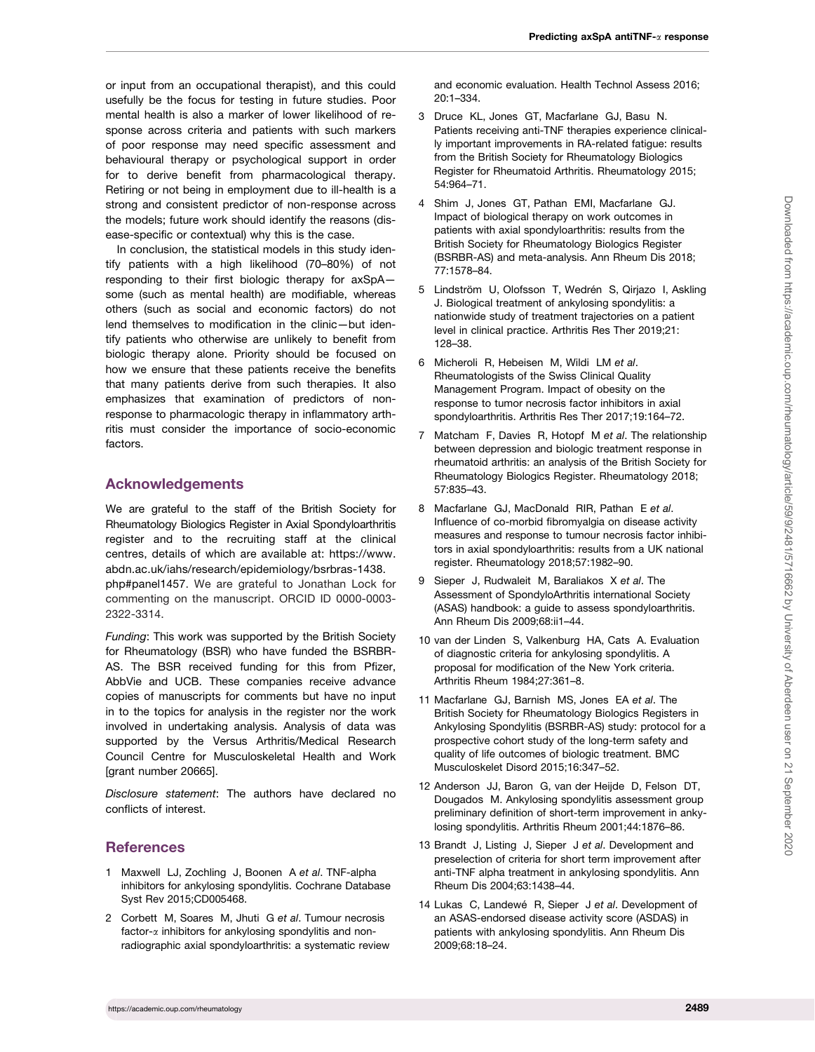<span id="page-8-0"></span>or input from an occupational therapist), and this could usefully be the focus for testing in future studies. Poor mental health is also a marker of lower likelihood of response across criteria and patients with such markers of poor response may need specific assessment and behavioural therapy or psychological support in order for to derive benefit from pharmacological therapy. Retiring or not being in employment due to ill-health is a strong and consistent predictor of non-response across the models; future work should identify the reasons (disease-specific or contextual) why this is the case.

In conclusion, the statistical models in this study identify patients with a high likelihood (70–80%) of not responding to their first biologic therapy for axSpA some (such as mental health) are modifiable, whereas others (such as social and economic factors) do not lend themselves to modification in the clinic—but identify patients who otherwise are unlikely to benefit from biologic therapy alone. Priority should be focused on how we ensure that these patients receive the benefits that many patients derive from such therapies. It also emphasizes that examination of predictors of nonresponse to pharmacologic therapy in inflammatory arthritis must consider the importance of socio-economic factors.

# Acknowledgements

We are grateful to the staff of the British Society for Rheumatology Biologics Register in Axial Spondyloarthritis register and to the recruiting staff at the clinical centres, details of which are available at: [https://www.](https://www.abdn.ac.uk/iahs/research/epidemiology/bsrbras-1438.php#panel1457) [abdn.ac.uk/iahs/research/epidemiology/bsrbras-1438.](https://www.abdn.ac.uk/iahs/research/epidemiology/bsrbras-1438.php#panel1457) [php#panel1457.](https://www.abdn.ac.uk/iahs/research/epidemiology/bsrbras-1438.php#panel1457) We are grateful to Jonathan Lock for

commenting on the manuscript. ORCID ID 0000-0003- 2322-3314.

Funding: This work was supported by the British Society for Rheumatology (BSR) who have funded the BSRBR-AS. The BSR received funding for this from Pfizer, AbbVie and UCB. These companies receive advance copies of manuscripts for comments but have no input in to the topics for analysis in the register nor the work involved in undertaking analysis. Analysis of data was supported by the Versus Arthritis/Medical Research Council Centre for Musculoskeletal Health and Work [grant number 20665].

Disclosure statement: The authors have declared no conflicts of interest.

# **References**

- [1](#page-0-0) Maxwell LJ, Zochling J, Boonen A et al. TNF-alpha inhibitors for ankylosing spondylitis. Cochrane Database Syst Rev 2015;CD005468.
- [2](#page-0-0) Corbett M, Soares M, Jhuti G et al. Tumour necrosis factor- $\alpha$  inhibitors for ankylosing spondylitis and nonradiographic axial spondyloarthritis: a systematic review

and economic evaluation. Health Technol Assess 2016; 20:1–334.

- [3](#page-0-0) Druce KL, Jones GT, Macfarlane GJ, Basu N. Patients receiving anti-TNF therapies experience clinically important improvements in RA-related fatigue: results from the British Society for Rheumatology Biologics Register for Rheumatoid Arthritis. Rheumatology 2015; 54:964–71.
- [4](#page-0-0) Shim J, Jones GT, Pathan EMI, Macfarlane GJ. Impact of biological therapy on work outcomes in patients with axial spondyloarthritis: results from the British Society for Rheumatology Biologics Register (BSRBR-AS) and meta-analysis. Ann Rheum Dis 2018; 77:1578–84.
- [5](#page-1-0) Lindström U, Olofsson T, Wedrén S, Qirjazo I, Askling J. Biological treatment of ankylosing spondylitis: a nationwide study of treatment trajectories on a patient level in clinical practice. Arthritis Res Ther 2019;21: 128–38.
- [6](#page-1-0) Micheroli R, Hebeisen M, Wildi LM et al. Rheumatologists of the Swiss Clinical Quality Management Program. Impact of obesity on the response to tumor necrosis factor inhibitors in axial spondyloarthritis. Arthritis Res Ther 2017;19:164–72.
- [7](#page-1-0) Matcham F, Davies R, Hotopf M et al. The relationship between depression and biologic treatment response in rheumatoid arthritis: an analysis of the British Society for Rheumatology Biologics Register. Rheumatology 2018; 57:835–43.
- [8](#page-1-0) Macfarlane GJ, MacDonald RIR, Pathan E et al. Influence of co-morbid fibromyalgia on disease activity measures and response to tumour necrosis factor inhibitors in axial spondyloarthritis: results from a UK national register. Rheumatology 2018;57:1982–90.
- [9](#page-1-0) Sieper J, Rudwaleit M, Baraliakos X et al. The Assessment of SpondyloArthritis international Society (ASAS) handbook: a guide to assess spondyloarthritis. Ann Rheum Dis 2009;68:ii1–44.
- [10](#page-1-0) van der Linden S, Valkenburg HA, Cats A. Evaluation of diagnostic criteria for ankylosing spondylitis. A proposal for modification of the New York criteria. Arthritis Rheum 1984;27:361–8.
- [11](#page-1-0) Macfarlane GJ, Barnish MS, Jones EA et al. The British Society for Rheumatology Biologics Registers in Ankylosing Spondylitis (BSRBR-AS) study: protocol for a prospective cohort study of the long-term safety and quality of life outcomes of biologic treatment. BMC Musculoskelet Disord 2015;16:347–52.
- [12](#page-1-0) Anderson JJ, Baron G, van der Heijde D, Felson DT, Dougados M. Ankylosing spondylitis assessment group preliminary definition of short-term improvement in ankylosing spondylitis. Arthritis Rheum 2001;44:1876–86.
- [13](#page-1-0) Brandt J, Listing J, Sieper J et al. Development and preselection of criteria for short term improvement after anti-TNF alpha treatment in ankylosing spondylitis. Ann Rheum Dis 2004;63:1438–44.
- [14](#page-1-0) Lukas C, Landewé R, Sieper J et al. Development of an ASAS-endorsed disease activity score (ASDAS) in patients with ankylosing spondylitis. Ann Rheum Dis 2009;68:18–24.